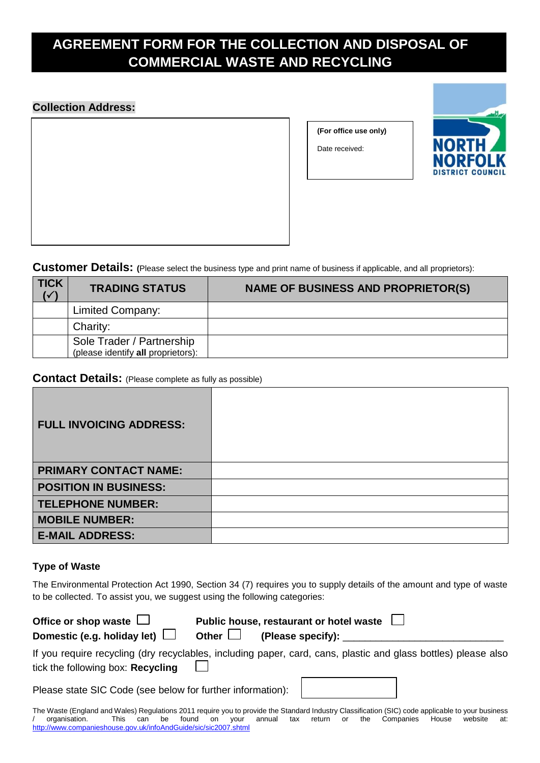# **AGREEMENT FORM FOR THE COLLECTION AND DISPOSAL OF COMMERCIAL WASTE AND RECYCLING**

## **Collection Address:**

**(For office use only)**

Date received:



**Customer Details: (**Please select the business type and print name of business if applicable, and all proprietors):

| <b>TICK</b><br>$\overline{\mathcal{C}}$ | <b>TRADING STATUS</b>                                           | <b>NAME OF BUSINESS AND PROPRIETOR(S)</b> |
|-----------------------------------------|-----------------------------------------------------------------|-------------------------------------------|
|                                         | <b>Limited Company:</b>                                         |                                           |
|                                         | Charity:                                                        |                                           |
|                                         | Sole Trader / Partnership<br>(please identify all proprietors): |                                           |

### **Contact Details:** (Please complete as fully as possible)

| <b>FULL INVOICING ADDRESS:</b> |  |
|--------------------------------|--|
| <b>PRIMARY CONTACT NAME:</b>   |  |
| <b>POSITION IN BUSINESS:</b>   |  |
| <b>TELEPHONE NUMBER:</b>       |  |
| <b>MOBILE NUMBER:</b>          |  |
| <b>E-MAIL ADDRESS:</b>         |  |

### **Type of Waste**

The Environmental Protection Act 1990, Section 34 (7) requires you to supply details of the amount and type of waste to be collected. To assist you, we suggest using the following categories:

| Office or shop waste $\Box$<br>Domestic (e.g. holiday let) $\Box$                                                                                   | Other $\Box$ |  | Public house, restaurant or hotel waste $\Box$<br>(Please specify): |  |  |  |  |
|-----------------------------------------------------------------------------------------------------------------------------------------------------|--------------|--|---------------------------------------------------------------------|--|--|--|--|
| If you require recycling (dry recyclables, including paper, card, cans, plastic and glass bottles) please also<br>tick the following box: Recycling |              |  |                                                                     |  |  |  |  |
| Please state SIC Code (see below for further information):                                                                                          |              |  |                                                                     |  |  |  |  |

The Waste (England and Wales) Regulations 2011 require you to provide the Standard Industry Classification (SIC) code applicable to your business<br>/ organisation. This can be found on your annual tax return or the Companies annual tax return or <http://www.companieshouse.gov.uk/infoAndGuide/sic/sic2007.shtml>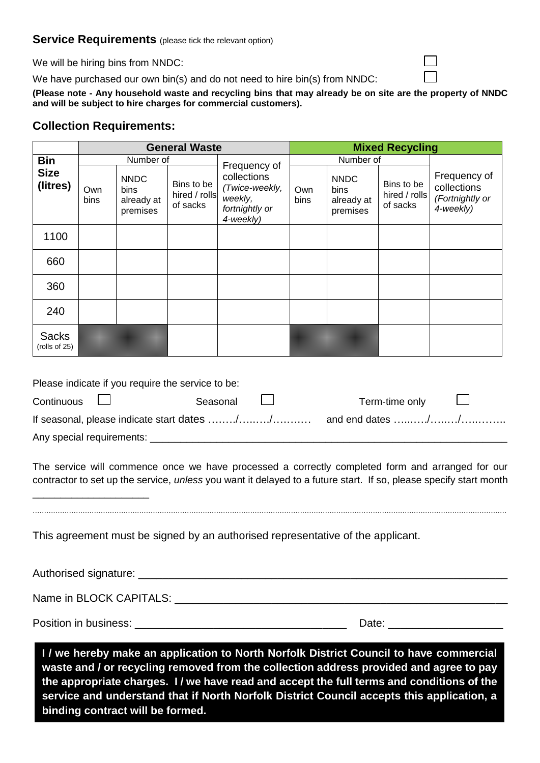### **Service Requirements** (please tick the relevant option)

We will be hiring bins from NNDC:

We have purchased our own bin(s) and do not need to hire bin(s) from NNDC:

**(Please note - Any household waste and recycling bins that may already be on site are the property of NNDC and will be subject to hire charges for commercial customers).**

### **Collection Requirements:**

|                               | <b>General Waste</b> |                                               |                                         |                                                                                                                                                                                  | <b>Mixed Recycling</b> |                                               |                                         |                                                                                                                                                                                                                       |  |  |  |
|-------------------------------|----------------------|-----------------------------------------------|-----------------------------------------|----------------------------------------------------------------------------------------------------------------------------------------------------------------------------------|------------------------|-----------------------------------------------|-----------------------------------------|-----------------------------------------------------------------------------------------------------------------------------------------------------------------------------------------------------------------------|--|--|--|
| <b>Bin</b>                    | Number of            |                                               |                                         | Frequency of                                                                                                                                                                     |                        | Number of                                     |                                         |                                                                                                                                                                                                                       |  |  |  |
| <b>Size</b><br>(litres)       | Own<br>bins          | <b>NNDC</b><br>bins<br>already at<br>premises | Bins to be<br>hired / rolls<br>of sacks | collections<br>(Twice-weekly,<br>weekly,<br>fortnightly or<br>4-weekly)                                                                                                          | Own<br>bins            | <b>NNDC</b><br>bins<br>already at<br>premises | Bins to be<br>hired / rolls<br>of sacks | Frequency of<br>collections<br>(Fortnightly or<br>4-weekly)                                                                                                                                                           |  |  |  |
| 1100                          |                      |                                               |                                         |                                                                                                                                                                                  |                        |                                               |                                         |                                                                                                                                                                                                                       |  |  |  |
| 660                           |                      |                                               |                                         |                                                                                                                                                                                  |                        |                                               |                                         |                                                                                                                                                                                                                       |  |  |  |
| 360                           |                      |                                               |                                         |                                                                                                                                                                                  |                        |                                               |                                         |                                                                                                                                                                                                                       |  |  |  |
| 240                           |                      |                                               |                                         |                                                                                                                                                                                  |                        |                                               |                                         |                                                                                                                                                                                                                       |  |  |  |
| <b>Sacks</b><br>(rolls of 25) |                      |                                               |                                         |                                                                                                                                                                                  |                        |                                               |                                         |                                                                                                                                                                                                                       |  |  |  |
|                               |                      |                                               |                                         |                                                                                                                                                                                  |                        |                                               |                                         | The service will commence once we have processed a correctly completed form and arranged for our<br>contractor to set up the service, unless you want it delayed to a future start. If so, please specify start month |  |  |  |
|                               |                      |                                               |                                         | This agreement must be signed by an authorised representative of the applicant.                                                                                                  |                        |                                               |                                         |                                                                                                                                                                                                                       |  |  |  |
|                               |                      |                                               |                                         |                                                                                                                                                                                  |                        |                                               |                                         |                                                                                                                                                                                                                       |  |  |  |
|                               |                      |                                               |                                         |                                                                                                                                                                                  |                        |                                               |                                         |                                                                                                                                                                                                                       |  |  |  |
|                               |                      |                                               |                                         |                                                                                                                                                                                  |                        |                                               |                                         |                                                                                                                                                                                                                       |  |  |  |
|                               |                      |                                               |                                         | I / we hereby make an application to North Norfolk District Council to have commercial<br>waste and / or recycling removed from the collection address provided and agree to pay |                        |                                               |                                         | the appropriate charges. I/ we have read and accept the full terms and conditions of the                                                                                                                              |  |  |  |

**service and understand that if North Norfolk District Council accepts this application, a binding contract will be formed.**